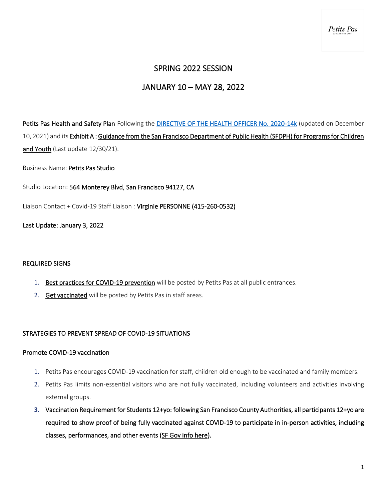# SPRING 2022 SESSION

# JANUARY 10 – MAY 28, 2022

Petits Pas Health and Safety Plan Following the [DIRECTIVE OF THE HEALTH OFFICER No. 2020-14k](https://www.sfdph.org/dph/alerts/files/Directive-2020-14-Childcare.pdf) (updated on December 10, 2021) and its Exhibit A [: Guidance from the San Francisco Department of Public Health \(SFDPH\) for Programs for Children](https://www.sfdph.org/dph/files/ig/Programs-for-Children-and-Youth.pdf)  [and Youth](https://www.sfdph.org/dph/files/ig/Programs-for-Children-and-Youth.pdf) (Last update 12/30/21).

Business Name: Petits Pas Studio

Studio Location: 564 Monterey Blvd, San Francisco 94127, CA

Liaison Contact + Covid-19 Staff Liaison : Virginie PERSONNE (415-260-0532)

Last Update: January 3, 2022

#### REQUIRED SIGNS

- 1. [Best practices for COVID-19 prevention](https://sf.gov/sites/default/files/2021-06/BestPractices-8.5x11-060921.pdf) will be posted by Petits Pas at all public entrances.
- 2. [Get vaccinated](https://sf.gov/sites/default/files/2021-06/GetVaccinated-white-8.5x11-060821.pdf) will be posted by Petits Pas in staff areas.

# STRATEGIES TO PREVENT SPREAD OF COVID-19 SITUATIONS

#### Promote COVID-19 vaccination

- 1. Petits Pas encourages COVID-19 vaccination for staff, children old enough to be vaccinated and family members.
- 2. Petits Pas limits non-essential visitors who are not fully vaccinated, including volunteers and activities involving external groups.
- **3.** Vaccination Requirement for Students 12+yo: following San Francisco County Authorities, all participants 12+yo are required to show proof of being fully vaccinated against COVID-19 to participate in in-person activities, including classes, performances, and other events [\(SF Gov info here\)](https://sf.gov/information/vaccine-required).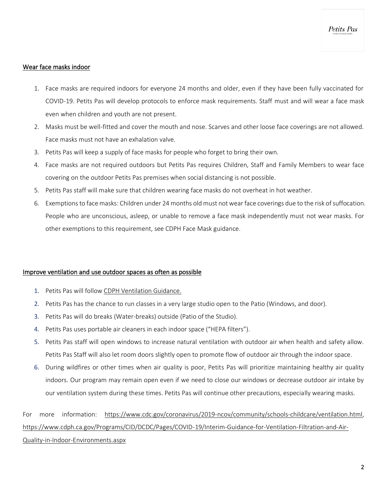## Wear face masks indoor

- 1. Face masks are required indoors for everyone 24 months and older, even if they have been fully vaccinated for COVID-19. Petits Pas will develop protocols to enforce mask requirements. Staff must and will wear a face mask even when children and youth are not present.
- 2. Masks must be well-fitted and cover the mouth and nose. Scarves and other loose face coverings are not allowed. Face masks must not have an exhalation valve.
- 3. Petits Pas will keep a supply of face masks for people who forget to bring their own.
- 4. Face masks are not required outdoors but Petits Pas requires Children, Staff and Family Members to wear face covering on the outdoor Petits Pas premises when social distancing is not possible.
- 5. Petits Pas staff will make sure that children wearing face masks do not overheat in hot weather.
- 6. Exemptions to face masks: Children under 24 months old must not wear face coverings due to the risk of suffocation. People who are unconscious, asleep, or unable to remove a face mask independently must not wear masks. For other exemptions to this requirement, see CDPH Face Mask guidance.

#### Improve ventilation and use outdoor spaces as often as possible

- 1. Petits Pas will follow [CDPH Ventilation Guidance.](https://www.cdph.ca.gov/Programs/CID/DCDC/Pages/COVID-19/Interim-Guidance-for-Ventilation-Filtration-and-Air-Quality-in-Indoor-Environments.aspx)
- 2. Petits Pas has the chance to run classes in a very large studio open to the Patio (Windows, and door).
- 3. Petits Pas will do breaks (Water-breaks) outside (Patio of the Studio).
- 4. Petits Pas uses portable air cleaners in each indoor space ("HEPA filters").
- 5. Petits Pas staff will open windows to increase natural ventilation with outdoor air when health and safety allow. Petits Pas Staff will also let room doors slightly open to promote flow of outdoor air through the indoor space.
- 6. During wildfires or other times when air quality is poor, Petits Pas will prioritize maintaining healthy air quality indoors. Our program may remain open even if we need to close our windows or decrease outdoor air intake by our ventilation system during these times. Petits Pas will continue other precautions, especially wearing masks.

For more information: [https://www.cdc.gov/coronavirus/2019-ncov/community/schools-childcare/ventilation.html,](https://www.cdc.gov/coronavirus/2019-ncov/community/schools-childcare/ventilation.html) [https://www.cdph.ca.gov/Programs/CID/DCDC/Pages/COVID-19/Interim-Guidance-for-Ventilation-Filtration-and-Air-](https://www.cdph.ca.gov/Programs/CID/DCDC/Pages/COVID-19/Interim-Guidance-for-Ventilation-Filtration-and-Air-Quality-in-Indoor-Environments.aspx)[Quality-in-Indoor-Environments.aspx](https://www.cdph.ca.gov/Programs/CID/DCDC/Pages/COVID-19/Interim-Guidance-for-Ventilation-Filtration-and-Air-Quality-in-Indoor-Environments.aspx)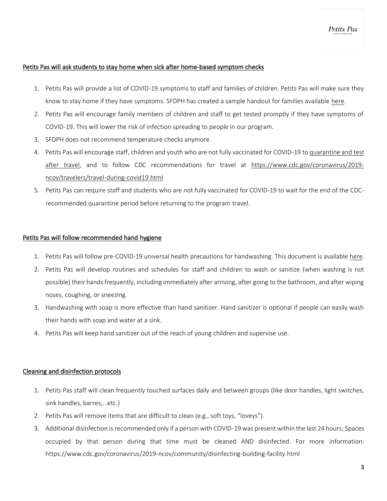## Petits Pas will ask students to stay home when sick after home-based symptom checks

- 1. Petits Pas will provide a list of COVID-19 symptoms to staff and families of children. Petits Pas will make sure they know to stay home if they have symptoms. SFDPH has created a sample handout for families available [here.](https://www.sfdph.org/dph/files/ig/Parent-Guardian-Health-Check-Handout.pdf)
- 2. Petits Pas will encourage family members of children and staff to get tested promptly if they have symptoms of COVID-19. This will lower the risk of infection spreading to people in our program.
- 3. SFDPH does not recommend temperature checks anymore.
- 4. Petits Pas will encourage staff, children and youth who are not fully vaccinated for COVID-19 t[o quarantine and test](https://www.cdc.gov/coronavirus/2019-ncov/travelers/travel-during-covid19.html)  [after travel,](https://www.cdc.gov/coronavirus/2019-ncov/travelers/travel-during-covid19.html) and to follow CDC recommendations for travel at [https://www.cdc.gov/coronavirus/2019](https://www.cdc.gov/coronavirus/2019-ncov/travelers/travel-during-covid19.html) [ncov/travelers/travel-during-covid19.html](https://www.cdc.gov/coronavirus/2019-ncov/travelers/travel-during-covid19.html)
- 5. Petits Pas can require staff and students who are not fully vaccinated for COVID-19 to wait for the end of the CDCrecommended quarantine period before returning to the program travel.

### Petits Pas will follow recommended hand hygiene

- 1. Petits Pas will follow pre-COVID-19 universal health precautions for handwashing. This document is available [here.](https://cchp.ucsf.edu/sites/g/files/tkssra181/f/standardprecen020305_adr.pdf)
- 2. Petits Pas will develop routines and schedules for staff and children to wash or sanitize (when washing is not possible) their hands frequently, including immediately after arriving, after going to the bathroom, and after wiping noses, coughing, or sneezing.
- 3. Handwashing with soap is more effective than hand sanitizer. Hand sanitizer is optional if people can easily wash their hands with soap and water at a sink.
- 4. Petits Pas will keep hand sanitizer out of the reach of young children and supervise use.

#### Cleaning and disinfection protocols

- 1. Petits Pas staff will clean frequently touched surfaces daily and between groups (like door handles, light switches, sink handles, barres,…etc.)
- 2. Petits Pas will remove items that are difficult to clean (e.g., soft toys, "loveys").
- 3. Additional disinfection is recommended only if a person with COVID-19 was present within the last 24 hours; Spaces occupied by that person during that time must be cleaned AND disinfected. For more information: https://www.cdc.gov/coronavirus/2019-ncov/community/disinfecting-building-facility.html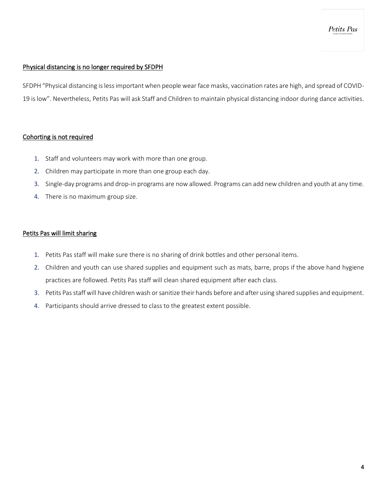Petits Pas

# Physical distancing is no longer required by SFDPH

SFDPH "Physical distancing is less important when people wear face masks, vaccination rates are high, and spread of COVID-19 is low". Nevertheless, Petits Pas will ask Staff and Children to maintain physical distancing indoor during dance activities.

# Cohorting is not required

- 1. Staff and volunteers may work with more than one group.
- 2. Children may participate in more than one group each day.
- 3. Single-day programs and drop-in programs are now allowed. Programs can add new children and youth at any time.
- 4. There is no maximum group size.

# Petits Pas will limit sharing

- 1. Petits Pas staff will make sure there is no sharing of drink bottles and other personal items.
- 2. Children and youth can use shared supplies and equipment such as mats, barre, props if the above hand hygiene practices are followed. Petits Pas staff will clean shared equipment after each class.
- 3. Petits Pas staff will have children wash or sanitize their hands before and after using shared supplies and equipment.
- 4. Participants should arrive dressed to class to the greatest extent possible.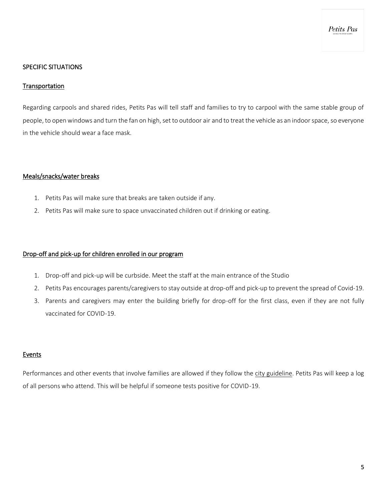Petits Pas

### SPECIFIC SITUATIONS

#### **Transportation**

Regarding carpools and shared rides, Petits Pas will tell staff and families to try to carpool with the same stable group of people, to open windows and turn the fan on high, set to outdoor air and to treat the vehicle as an indoor space, so everyone in the vehicle should wear a face mask.

### Meals/snacks/water breaks

- 1. Petits Pas will make sure that breaks are taken outside if any.
- 2. Petits Pas will make sure to space unvaccinated children out if drinking or eating.

### Drop-off and pick-up for children enrolled in our program

- 1. Drop-off and pick-up will be curbside. Meet the staff at the main entrance of the Studio
- 2. Petits Pas encourages parents/caregivers to stay outside at drop-off and pick-up to prevent the spread of Covid-19.
- 3. Parents and caregivers may enter the building briefly for drop-off for the first class, even if they are not fully vaccinated for COVID-19.

# Events

Performances and other events that involve families are allowed if they follow the [city guideline.](https://www.sfdph.org/dph/alerts/files/C19-07-Mega-and-Large-Event-Chart.pdf) Petits Pas will keep a log of all persons who attend. This will be helpful if someone tests positive for COVID-19.